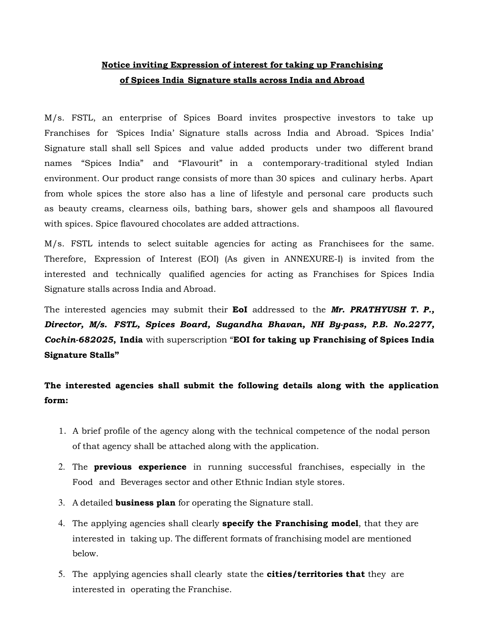# Notice inviting Expression of interest for taking up Franchising of Spices India Signature stalls across India and Abroad

M/s. FSTL, an enterprise of Spices Board invites prospective investors to take up Franchises for 'Spices India' Signature stalls across India and Abroad. 'Spices India' Signature stall shall sell Spices and value added products under two different brand names "Spices India" and "Flavourit" in a contemporary-traditional styled Indian environment. Our product range consists of more than 30 spices and culinary herbs. Apart from whole spices the store also has a line of lifestyle and personal care products such as beauty creams, clearness oils, bathing bars, shower gels and shampoos all flavoured with spices. Spice flavoured chocolates are added attractions.

M/s. FSTL intends to select suitable agencies for acting as Franchisees for the same. Therefore, Expression of Interest (EOI) (As given in ANNEXURE-I) is invited from the interested and technically qualified agencies for acting as Franchises for Spices India Signature stalls across India and Abroad.

The interested agencies may submit their EoI addressed to the Mr. PRATHYUSH T. P., Director, M/s. FSTL, Spices Board, Sugandha Bhavan, NH By-pass, P.B. No.2277, Cochin-682025, India with superscription "EOI for taking up Franchising of Spices India Signature Stalls"

# The interested agencies shall submit the following details along with the application form:

- 1. A brief profile of the agency along with the technical competence of the nodal person of that agency shall be attached along with the application.
- 2. The **previous experience** in running successful franchises, especially in the Food and Beverages sector and other Ethnic Indian style stores.
- 3. A detailed **business plan** for operating the Signature stall.
- 4. The applying agencies shall clearly **specify the Franchising model**, that they are interested in taking up. The different formats of franchising model are mentioned below.
- 5. The applying agencies shall clearly state the **cities/territories that** they are interested in operating the Franchise.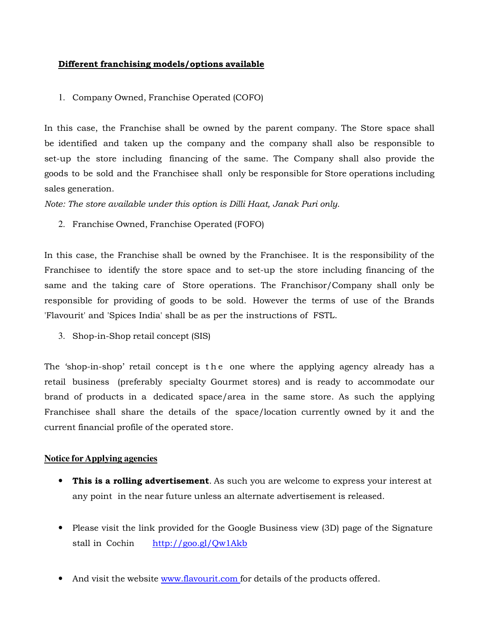#### Different franchising models/options available

#### 1. Company Owned, Franchise Operated (COFO)

In this case, the Franchise shall be owned by the parent company. The Store space shall be identified and taken up the company and the company shall also be responsible to set-up the store including financing of the same. The Company shall also provide the goods to be sold and the Franchisee shall only be responsible for Store operations including sales generation.

Note: The store available under this option is Dilli Haat, Janak Puri only.

2. Franchise Owned, Franchise Operated (FOFO)

In this case, the Franchise shall be owned by the Franchisee. It is the responsibility of the Franchisee to identify the store space and to set-up the store including financing of the same and the taking care of Store operations. The Franchisor/Company shall only be responsible for providing of goods to be sold. However the terms of use of the Brands 'Flavourit' and 'Spices India' shall be as per the instructions of FSTL.

3. Shop-in-Shop retail concept (SIS)

The 'shop-in-shop' retail concept is the one where the applying agency already has a retail business (preferably specialty Gourmet stores) and is ready to accommodate our brand of products in a dedicated space/area in the same store. As such the applying Franchisee shall share the details of the space/location currently owned by it and the current financial profile of the operated store.

#### **Notice for Applying agencies**

- This is a rolling advertisement. As such you are welcome to express your interest at any point in the near future unless an alternate advertisement is released.
- Please visit the link provided for the Google Business view (3D) page of the Signature stall in Cochin http://goo.gl/Qw1Akb
- And visit the website www.flavourit.com for details of the products offered.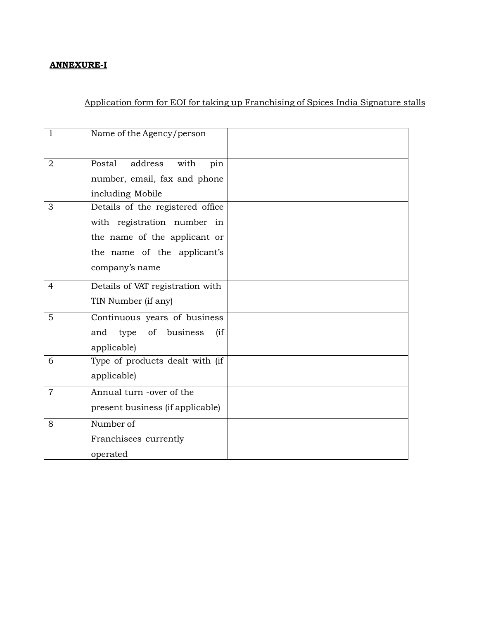### ANNEXURE-I

## Application form for EOI for taking up Franchising of Spices India Signature stalls

| $\mathbf{1}$   | Name of the Agency/person        |  |
|----------------|----------------------------------|--|
|                | address                          |  |
| $\overline{2}$ | Postal<br>with<br>pin            |  |
|                | number, email, fax and phone     |  |
|                | including Mobile                 |  |
| 3              | Details of the registered office |  |
|                | with registration number in      |  |
|                | the name of the applicant or     |  |
|                | the name of the applicant's      |  |
|                | company's name                   |  |
| $\overline{4}$ | Details of VAT registration with |  |
|                | TIN Number (if any)              |  |
| 5              | Continuous years of business     |  |
|                | type of business<br>and<br>(iif  |  |
|                | applicable)                      |  |
| 6              | Type of products dealt with (if  |  |
|                | applicable)                      |  |
| $\overline{7}$ | Annual turn -over of the         |  |
|                | present business (if applicable) |  |
| 8              | Number of                        |  |
|                | Franchisees currently            |  |
|                | operated                         |  |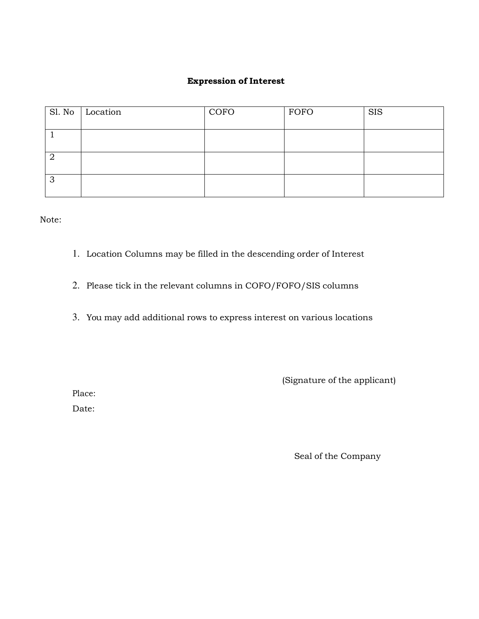### Expression of Interest

|   | $\vert$ Sl. No $\vert$ Location | COFO | FOFO | <b>SIS</b> |
|---|---------------------------------|------|------|------------|
|   |                                 |      |      |            |
|   |                                 |      |      |            |
|   |                                 |      |      |            |
| 3 |                                 |      |      |            |

Note:

- 1. Location Columns may be filled in the descending order of Interest
- 2. Please tick in the relevant columns in COFO/FOFO/SIS columns
- 3. You may add additional rows to express interest on various locations

(Signature of the applicant)

Place:

Date:

Seal of the Company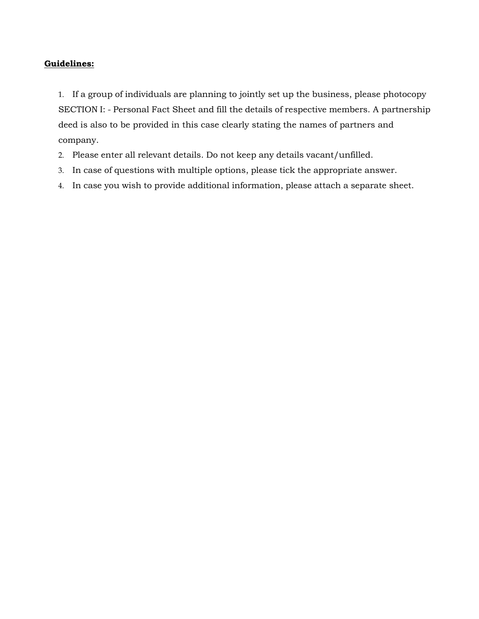### Guidelines:

1. If a group of individuals are planning to jointly set up the business, please photocopy SECTION I: - Personal Fact Sheet and fill the details of respective members. A partnership deed is also to be provided in this case clearly stating the names of partners and company.

- 2. Please enter all relevant details. Do not keep any details vacant/unfilled.
- 3. In case of questions with multiple options, please tick the appropriate answer.
- 4. In case you wish to provide additional information, please attach a separate sheet.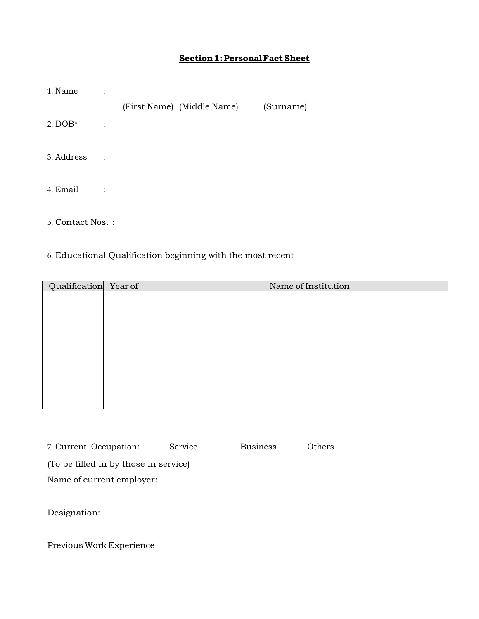## Section 1: Personal Fact Sheet

| 1. Name    | $\ddot{\cdot}$ |                            |           |
|------------|----------------|----------------------------|-----------|
|            |                | (First Name) (Middle Name) | (Surname) |
| 2. $DOB*$  | $\ddot{\cdot}$ |                            |           |
| 3. Address | $\sim$ 1       |                            |           |
| 4. Email   | $\ddot{\cdot}$ |                            |           |
|            |                |                            |           |

5. Contact Nos. :

## 6. Educational Qualification beginning with the most recent

| Qualification Year of | Name of Institution |
|-----------------------|---------------------|
|                       |                     |
|                       |                     |
|                       |                     |
|                       |                     |
|                       |                     |
|                       |                     |
|                       |                     |
|                       |                     |
|                       |                     |
|                       |                     |
|                       |                     |
|                       |                     |

| 7. Current Occupation:                | Service | <b>Business</b> | Others |  |  |  |
|---------------------------------------|---------|-----------------|--------|--|--|--|
| (To be filled in by those in service) |         |                 |        |  |  |  |
| Name of current employer:             |         |                 |        |  |  |  |

Designation:

Previous Work Experience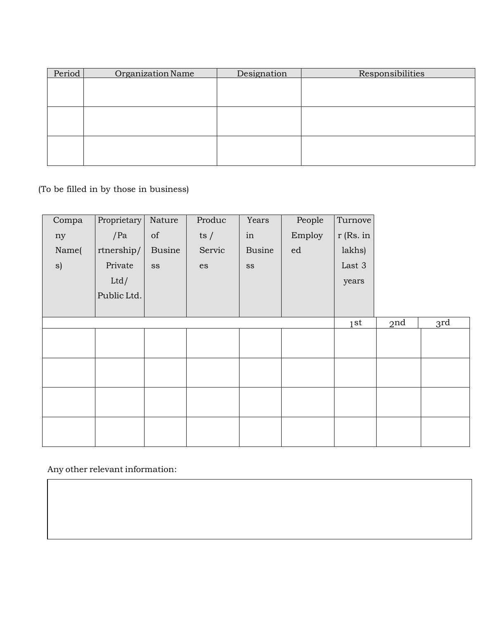| Period | Organization Name | Designation | Responsibilities |
|--------|-------------------|-------------|------------------|
|        |                   |             |                  |
|        |                   |             |                  |
|        |                   |             |                  |
|        |                   |             |                  |
|        |                   |             |                  |
|        |                   |             |                  |
|        |                   |             |                  |
|        |                   |             |                  |
|        |                   |             |                  |

(To be filled in by those in business)

| Compa | Proprietary | Nature                                                                                             | Produc                     | Years               | People     | Turnove         |                 |     |
|-------|-------------|----------------------------------------------------------------------------------------------------|----------------------------|---------------------|------------|-----------------|-----------------|-----|
| ny    | /Pa         | $% \left( \left( \mathcal{A},\mathcal{A}\right) \right) =\left( \mathcal{A},\mathcal{A}\right)$ of | ts $/$                     | $\operatorname{in}$ | Employ     | r (Rs. in       |                 |     |
| Name( | rtnership/  | <b>Busine</b>                                                                                      | Servic                     | <b>Busine</b>       | ${\rm ed}$ | lakhs)          |                 |     |
| s)    | Private     | $_{\rm SS}$                                                                                        | $\mathop{\rm es}\nolimits$ | $_{\rm SS}$         |            | Last 3          |                 |     |
|       | Ltd/        |                                                                                                    |                            |                     |            | years           |                 |     |
|       | Public Ltd. |                                                                                                    |                            |                     |            |                 |                 |     |
|       |             |                                                                                                    |                            |                     |            |                 |                 |     |
|       |             |                                                                                                    |                            |                     |            | 1 <sup>st</sup> | 2 <sub>nd</sub> | 3rd |
|       |             |                                                                                                    |                            |                     |            |                 |                 |     |
|       |             |                                                                                                    |                            |                     |            |                 |                 |     |
|       |             |                                                                                                    |                            |                     |            |                 |                 |     |
|       |             |                                                                                                    |                            |                     |            |                 |                 |     |
|       |             |                                                                                                    |                            |                     |            |                 |                 |     |
|       |             |                                                                                                    |                            |                     |            |                 |                 |     |
|       |             |                                                                                                    |                            |                     |            |                 |                 |     |
|       |             |                                                                                                    |                            |                     |            |                 |                 |     |

Any other relevant information: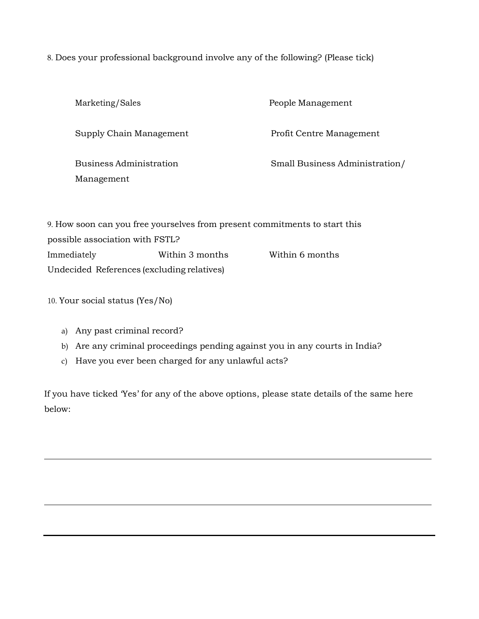8. Does your professional background involve any of the following? (Please tick)

| Marketing/Sales                                                            | People Management              |
|----------------------------------------------------------------------------|--------------------------------|
| Supply Chain Management                                                    | Profit Centre Management       |
| Business Administration<br>Management                                      | Small Business Administration/ |
| 9. How soon can you free yourselves from present commitments to start this |                                |
| possible association with FSTL?                                            |                                |

| Immediately                                | Within 3 months | Within 6 months |
|--------------------------------------------|-----------------|-----------------|
| Undecided References (excluding relatives) |                 |                 |

10. Your social status (Yes/No)

- a) Any past criminal record?
- b) Are any criminal proceedings pending against you in any courts in India?
- c) Have you ever been charged for any unlawful acts?

If you have ticked 'Yes' for any of the above options, please state details of the same here below: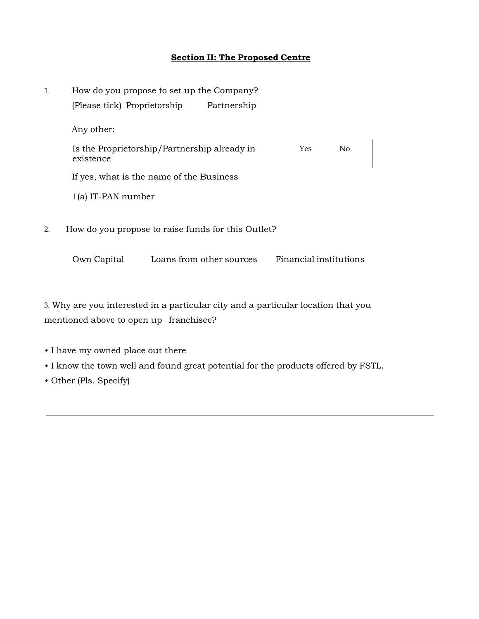## Section II: The Proposed Centre

| 1. | How do you propose to set up the Company?                 |  |                          |                        |          |  |
|----|-----------------------------------------------------------|--|--------------------------|------------------------|----------|--|
|    | (Please tick) Proprietorship<br>Any other:                |  | Partnership              |                        |          |  |
|    |                                                           |  |                          |                        |          |  |
|    | Is the Proprietorship/Partnership already in<br>existence |  |                          | Yes                    | $\rm No$ |  |
|    | If yes, what is the name of the Business                  |  |                          |                        |          |  |
|    | $1(a)$ IT-PAN number                                      |  |                          |                        |          |  |
| 2. | How do you propose to raise funds for this Outlet?        |  |                          |                        |          |  |
|    | Own Capital                                               |  | Loans from other sources | Financial institutions |          |  |
|    |                                                           |  |                          |                        |          |  |

3. Why are you interested in a particular city and a particular location that you mentioned above to open up franchisee?

- I have my owned place out there
- I know the town well and found great potential for the products offered by FSTL.
- Other (Pls. Specify)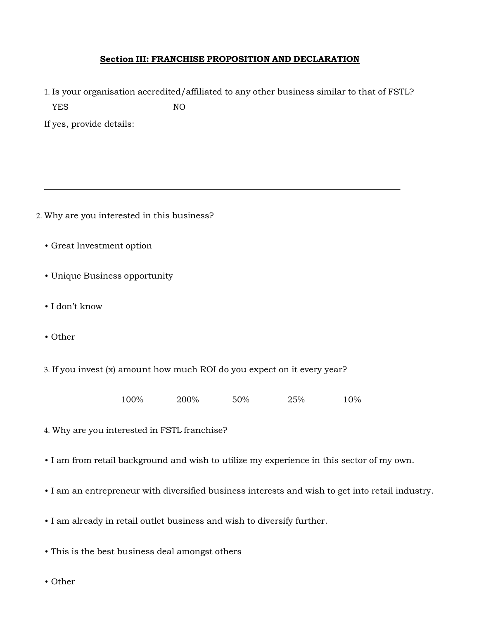### Section III: FRANCHISE PROPOSITION AND DECLARATION

1. Is your organisation accredited/affiliated to any other business similar to that of FSTL?

| <b>YES</b>                                                                                | NO   |     |     |     |  |
|-------------------------------------------------------------------------------------------|------|-----|-----|-----|--|
| If yes, provide details:                                                                  |      |     |     |     |  |
|                                                                                           |      |     |     |     |  |
|                                                                                           |      |     |     |     |  |
|                                                                                           |      |     |     |     |  |
|                                                                                           |      |     |     |     |  |
| 2. Why are you interested in this business?                                               |      |     |     |     |  |
| • Great Investment option                                                                 |      |     |     |     |  |
|                                                                                           |      |     |     |     |  |
| • Unique Business opportunity                                                             |      |     |     |     |  |
| · I don't know                                                                            |      |     |     |     |  |
|                                                                                           |      |     |     |     |  |
| • Other                                                                                   |      |     |     |     |  |
|                                                                                           |      |     |     |     |  |
| 3. If you invest (x) amount how much ROI do you expect on it every year?                  |      |     |     |     |  |
| 100%                                                                                      | 200% | 50% | 25% | 10% |  |
|                                                                                           |      |     |     |     |  |
| 4. Why are you interested in FSTL franchise?                                              |      |     |     |     |  |
| . I am from retail background and wish to utilize my experience in this sector of my own. |      |     |     |     |  |

- I am an entrepreneur with diversified business interests and wish to get into retail industry.
- I am already in retail outlet business and wish to diversify further.
- This is the best business deal amongst others
- Other